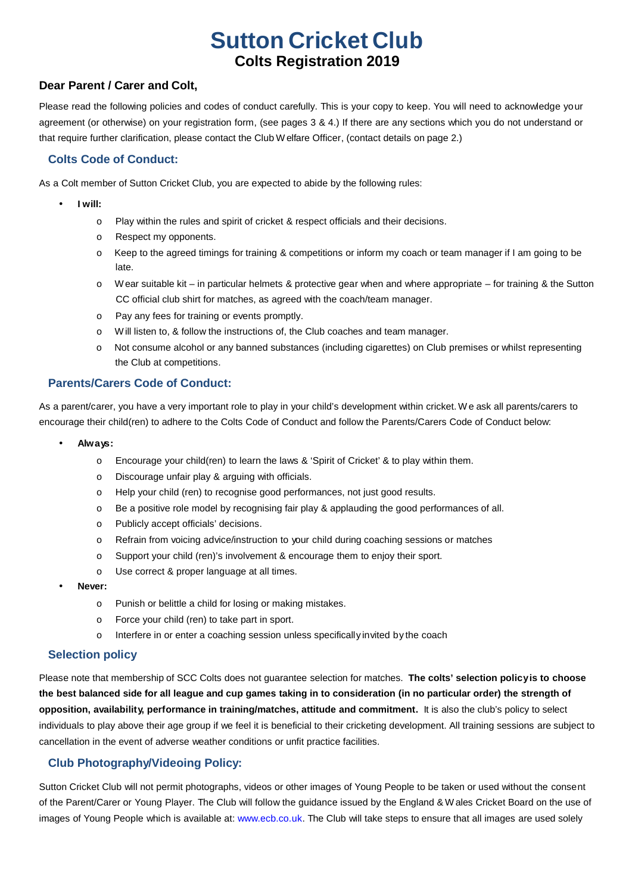# **Dear Parent / Carer and Colt.**<br> **Dear Parent / Carer and Colt.**<br> **Dear Parent / Carer and Colt. Colts Registration 2019**

Please read the following policies and codes of conduct carefully. This is your copy to keep. You will need to acknowledge your agreement (or otherwise) on your registration form, (see pages 3 & 4.) If there are any sections which you do not understand or that require further clarification, please contact the Club W elfare Officer, (contact details on page 2.)

#### **Colts Code of Conduct:**

As a Colt member of Sutton Cricket Club, you are expected to abide by the following rules:

- **I will:**
	- o Play within the rules and spirit of cricket & respect officials and their decisions.
	- o Respect my opponents.
	- $\circ$  Keep to the agreed timings for training & competitions or inform my coach or team manager if I am going to be late.
	- o Wear suitable kit in particular helmets & protective gear when and where appropriate for training & the Sutton CC official club shirt for matches, as agreed with the coach/team manager.
	- o Pay any fees for training or events promptly.
	- o Will listen to, & follow the instructions of, the Club coaches and team manager.
	- o Not consume alcohol or any banned substances (including cigarettes) on Club premises orwhilst representing the Club at competitions.

#### **Parents/Carers Code of Conduct:**

As a parent/carer, you have a very important role to play in your child's development within cricket. We ask all parents/carers to encourage their child(ren) to adhere to the Colts Code of Conduct and follow the Parents/Carers Code of Conduct below:

- **Always:**
	- o Encourage your child(ren) to learn the laws & 'Spirit of Cricket' & to play within them.
	- o Discourage unfair play & arguing with officials.
	- o Help your child (ren) to recognise good performances, not just good results.
	- o Be a positive role model by recognising fair play & applauding the good performances of all.
	- o Publicly accept officials' decisions.
	- o Refrain from voicing advice/instruction to your child during coaching sessions or matches
	- o Support your child (ren)'s involvement & encourage them to enjoy their sport.
	- o Use correct & proper language at all times.
- **Never:**
	- o Punish or belittle a child for losing or making mistakes.
	- o Force your child (ren) to take partin sport.
	- o Interfere in or enter a coaching session unless specifically invited by the coach

#### **Selection policy**

Please note that membership of SCC Colts does not guarantee selection for matches. **The colts' selection policyis to choose** the best balanced side for all league and cup games taking in to consideration (in no particular order) the strength of **opposition, availability, performance in training/matches, attitude and commitment.** It is also the club's policy to select individuals to play above their age group if we feel it is beneficial to their cricketing development. All training sessions are subject to cancellation in the event of adverse weather conditions orunfit practice facilities.

#### **Club Photography/Videoing Policy:**

Sutton Cricket Club will not permit photographs, videos or other images of Young People to be taken or used without the consent of the Parent/Carer or Young Player. The Club will follow the guidance issued by the England & W ales Cricket Board on the use of images of Young People which is available at: www.ecb.co.uk. The Club will take steps to ensure that all images are used solely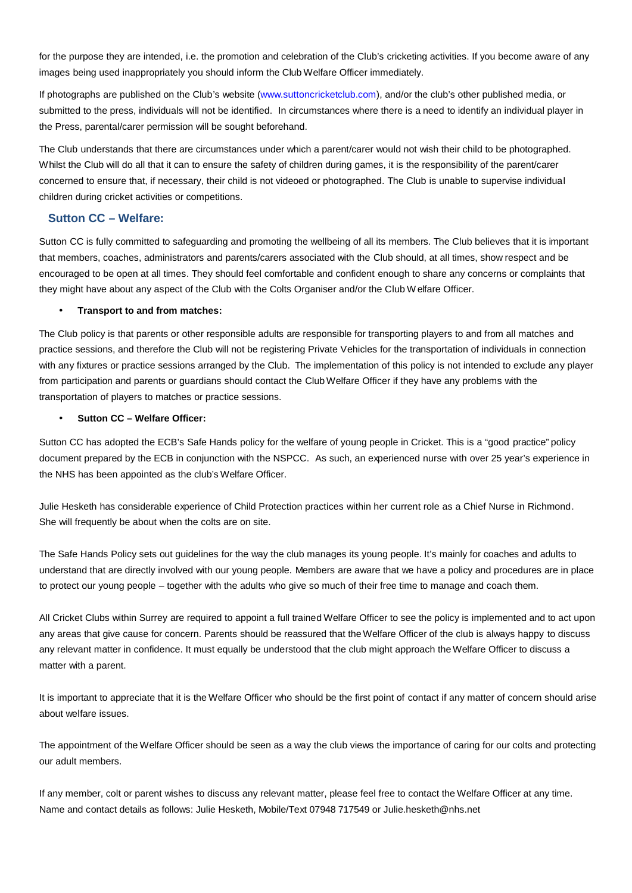for the purpose they are intended, i.e. the promotion and celebration of the Club's cricketing activities. If you become aware of any images being used inappropriately you should inform the Club Welfare Officer immediately.

If photographs are published on the Club's website (www.suttoncricketclub.com), and/or the club's other published media, or submitted to the press, individuals will not be identified. In circumstances where there is a need to identify an individual player in the Press, parental/carer permission will be sought beforehand.

The Club understands that there are circumstances under which a parent/carer would not wish their child to be photographed. Whilst the Club will do all that it can to ensure the safety of children during games, it is the responsibility of the parent/carer concerned to ensure that, if necessary, their child is not videoed or photographed. The Club is unable to supervise individual children during cricket activities or competitions.

#### **Sutton CC – Welfare:**

Sutton CC is fully committed to safeguarding and promoting the wellbeing of all its members. The Club believes that it is important that members, coaches, administrators and parents/carers associated with the Club should, at all times, show respect and be encouraged to be open at all times. They should feel comfortable and confident enough to share any concerns orcomplaints that they might have about any aspect of the Club with the Colts Organiser and/or the Club W elfare Officer.

#### **Transport to and from matches:**

The Club policy is that parents orother responsible adults are responsible for transporting players to and from all matches and practice sessions, and therefore the Club will not be registering Private Vehicles for the transportation of individuals in connection with any fixtures or practice sessions arranged by the Club. The implementation of this policy is not intended to exclude any player from participation and parents or guardians should contact the Club Welfare Officer if they have any problems with the transportation of players to matches or practice sessions.

#### **Sutton CC – Welfare Officer:**

Sutton CC has adopted the ECB's Safe Hands policy for the welfare of young people in Cricket. This is a "good practice" policy document prepared by the ECB in conjunction with the NSPCC. As such, an experienced nurse with over 25 year's experience in the NHS has been appointed as the club's Welfare Officer.

Julie Hesketh has considerable experience of Child Protection practices within her current role as a Chief Nurse in Richmond. She will frequently be about when the colts are on site.

The Safe Hands Policy sets out guidelines for the way the club manages its young people. It's mainly for coaches and adults to understand that are directly involved with our young people. Members are aware that we have a policy and procedures are in place to protect our young people – together with the adults who give so much of their free time to manage and coach them.

All Cricket Clubs within Surrey are required to appoint a full trained Welfare Officer to see the policy is implemented and to act upon any areas that give cause for concern. Parents should be reassured that the Welfare Officer of the club is always happy to discuss any relevant matter in confidence. It must equally be understood that the club might approach the Welfare Officer to discuss a matter with a parent.

It is important to appreciate that it is the Welfare Officer who should be the first point of contact if any matter of concern should arise about welfare issues.

The appointment of the Welfare Officer should be seen as a way the club views the importance of caring for our colts and protecting our adult members.

If any member, colt or parent wishes to discuss any relevant matter, please feel free to contact the Welfare Officer at any time. Name and contact details as follows: Julie Hesketh, Mobile/Text 07948 717549 or Julie.hesketh@nhs.net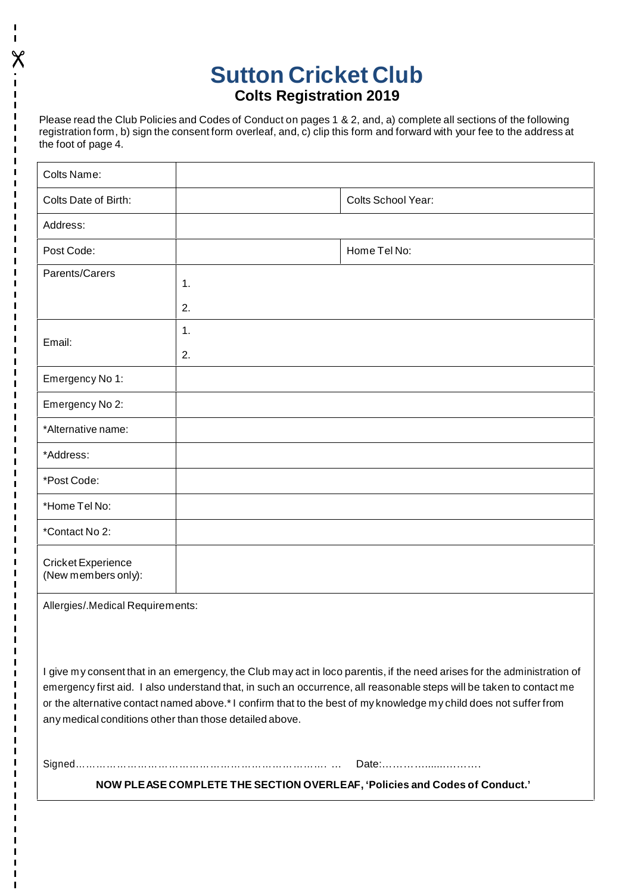## **Sutton Cricket Club Colts Registration 2019**

Please read the Club Policies and Codes of Conduct on pages 1 & 2, and, a) complete all sections of the following registration form, b) sign the consent form overleaf, and, c) clip this form and forward with your fee to the address at the foot of page 4.

 $\chi$  and  $\chi$ 

| Colts Name:                                      |    |                    |  |  |
|--------------------------------------------------|----|--------------------|--|--|
| Colts Date of Birth:                             |    | Colts School Year: |  |  |
| Address:                                         |    |                    |  |  |
| Post Code:                                       |    | Home Tel No:       |  |  |
| Parents/Carers                                   | 1. |                    |  |  |
|                                                  | 2. |                    |  |  |
| Email:                                           | 1. |                    |  |  |
|                                                  | 2. |                    |  |  |
| Emergency No 1:                                  |    |                    |  |  |
| Emergency No 2:                                  |    |                    |  |  |
| *Alternative name:                               |    |                    |  |  |
| *Address:                                        |    |                    |  |  |
| *Post Code:                                      |    |                    |  |  |
| *Home Tel No:                                    |    |                    |  |  |
| *Contact No 2:                                   |    |                    |  |  |
| <b>Cricket Experience</b><br>(New members only): |    |                    |  |  |
| Allergies/.Medical Requirements:                 |    |                    |  |  |

I give my consent that in an emergency, the Club may act in loco parentis, if the need arises for the administration of emergency first aid. I also understand that, in such an occurrence, all reasonable steps will be taken to contact me or the alternative contact named above.\*I confirm that to the best of my knowledge my child does not suffer from any medical conditions other than those detailed above.

Signed………………………………………………………………. … Date:………….......……….

**NOW PLEASE COMPLETE THE SECTION OVERLEAF, 'Policies and Codes of Conduct.'**